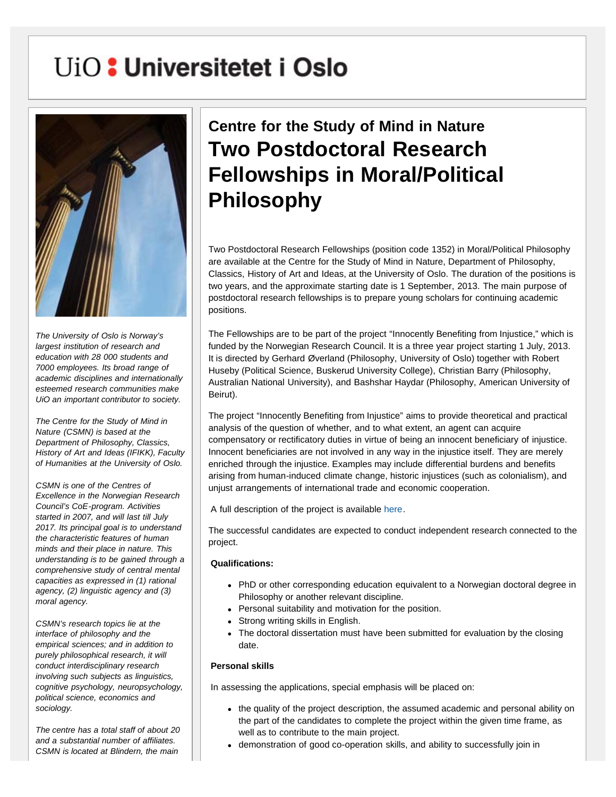# UiO: Universitetet i Oslo



*The University of Oslo is Norway's largest institution of research and education with 28 000 students and 7000 employees. Its broad range of academic disciplines and internationally esteemed research communities make UiO an important contributor to society.* 

*The Centre for the Study of Mind in Nature (CSMN) is based at the Department of Philosophy, Classics, History of Art and Ideas (IFIKK), Faculty of Humanities at the University of Oslo.* 

*CSMN is one of the Centres of Excellence in the Norwegian Research Council's CoE-program. Activities started in 2007, and will last till July 2017. Its principal goal is to understand the characteristic features of human minds and their place in nature. This understanding is to be gained through a comprehensive study of central mental capacities as expressed in (1) rational agency, (2) linguistic agency and (3) moral agency.* 

*CSMN's research topics lie at the interface of philosophy and the empirical sciences; and in addition to purely philosophical research, it will conduct interdisciplinary research involving such subjects as linguistics, cognitive psychology, neuropsychology, political science, economics and sociology.* 

*The centre has a total staff of about 20 and a substantial number of affiliates. CSMN is located at Blindern, the main*

## **Centre for the Study of Mind in Nature Two Postdoctoral Research Fellowships in Moral/Political Philosophy**

Two Postdoctoral Research Fellowships (position code 1352) in Moral/Political Philosophy are available at the Centre for the Study of Mind in Nature, Department of Philosophy, Classics, History of Art and Ideas, at the University of Oslo. The duration of the positions is two years, and the approximate starting date is 1 September, 2013. The main purpose of postdoctoral research fellowships is to prepare young scholars for continuing academic positions.

The Fellowships are to be part of the project "Innocently Benefiting from Injustice," which is funded by the Norwegian Research Council. It is a three year project starting 1 July, 2013. It is directed by Gerhard Øverland (Philosophy, University of Oslo) together with Robert Huseby (Political Science, Buskerud University College), Christian Barry (Philosophy, Australian National University), and Bashshar Haydar (Philosophy, American University of Beirut).

The project "Innocently Benefiting from Injustice" aims to provide theoretical and practical analysis of the question of whether, and to what extent, an agent can acquire compensatory or rectificatory duties in virtue of being an innocent beneficiary of injustice. Innocent beneficiaries are not involved in any way in the injustice itself. They are merely enriched through the injustice. Examples may include differential burdens and benefits arising from human-induced climate change, historic injustices (such as colonialism), and unjust arrangements of international trade and economic cooperation.

A full description of the project is available [here.](http://www.hf.uio.no/csmn/english/research/projects/innocently-benefiting/index.html)

The successful candidates are expected to conduct independent research connected to the project.

#### **Qualifications:**

- PhD or other corresponding education equivalent to a Norwegian doctoral degree in Philosophy or another relevant discipline.
- Personal suitability and motivation for the position.
- Strong writing skills in English.
- The doctoral dissertation must have been submitted for evaluation by the closing date.

#### **Personal skills**

In assessing the applications, special emphasis will be placed on:

- the quality of the project description, the assumed academic and personal ability on the part of the candidates to complete the project within the given time frame, as well as to contribute to the main project.
- demonstration of good co-operation skills, and ability to successfully join in